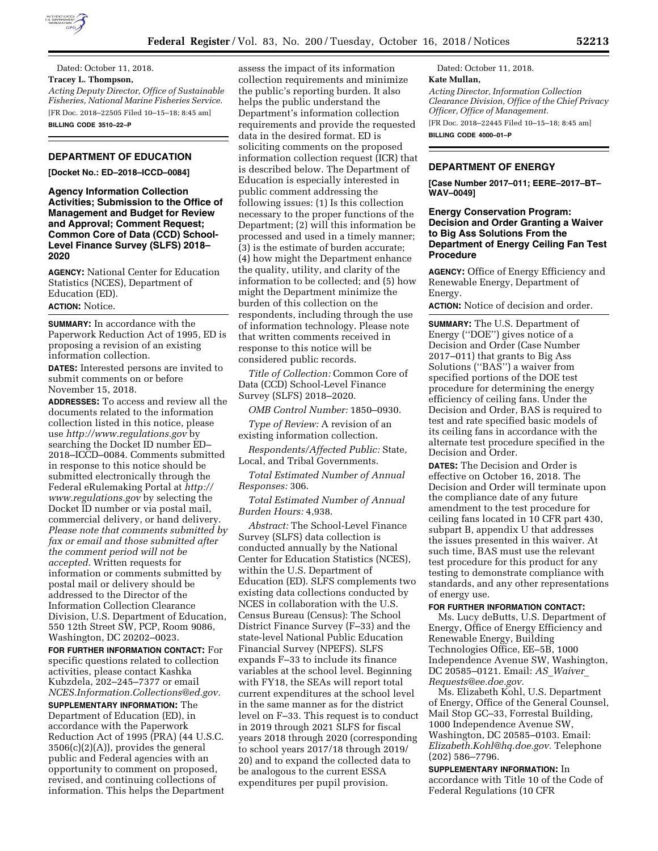

Dated: October 11, 2018. **Tracey L. Thompson,**  *Acting Deputy Director, Office of Sustainable Fisheries, National Marine Fisheries Service.*  [FR Doc. 2018–22505 Filed 10–15–18; 8:45 am] **BILLING CODE 3510–22–P** 

### **DEPARTMENT OF EDUCATION**

**[Docket No.: ED–2018–ICCD–0084]** 

**Agency Information Collection Activities; Submission to the Office of Management and Budget for Review and Approval; Comment Request; Common Core of Data (CCD) School-Level Finance Survey (SLFS) 2018– 2020** 

**AGENCY:** National Center for Education Statistics (NCES), Department of Education (ED). **ACTION:** Notice.

**SUMMARY:** In accordance with the Paperwork Reduction Act of 1995, ED is proposing a revision of an existing information collection.

**DATES:** Interested persons are invited to submit comments on or before November 15, 2018.

**ADDRESSES:** To access and review all the documents related to the information collection listed in this notice, please use *<http://www.regulations.gov>*by searching the Docket ID number ED– 2018–ICCD–0084. Comments submitted in response to this notice should be submitted electronically through the Federal eRulemaking Portal at *[http://](http://www.regulations.gov) [www.regulations.gov](http://www.regulations.gov)* by selecting the Docket ID number or via postal mail, commercial delivery, or hand delivery. *Please note that comments submitted by fax or email and those submitted after the comment period will not be accepted.* Written requests for information or comments submitted by postal mail or delivery should be addressed to the Director of the Information Collection Clearance Division, U.S. Department of Education, 550 12th Street SW, PCP, Room 9086, Washington, DC 20202–0023.

**FOR FURTHER INFORMATION CONTACT:** For specific questions related to collection activities, please contact Kashka Kubzdela, 202–245–7377 or email *[NCES.Information.Collections@ed.gov.](mailto:NCES.Information.Collections@ed.gov)* 

**SUPPLEMENTARY INFORMATION:** The Department of Education (ED), in accordance with the Paperwork Reduction Act of 1995 (PRA) (44 U.S.C.  $3506(c)(2)(A)$ , provides the general public and Federal agencies with an opportunity to comment on proposed, revised, and continuing collections of information. This helps the Department assess the impact of its information collection requirements and minimize the public's reporting burden. It also helps the public understand the Department's information collection requirements and provide the requested data in the desired format. ED is soliciting comments on the proposed information collection request (ICR) that is described below. The Department of Education is especially interested in public comment addressing the following issues: (1) Is this collection necessary to the proper functions of the Department; (2) will this information be processed and used in a timely manner; (3) is the estimate of burden accurate; (4) how might the Department enhance the quality, utility, and clarity of the information to be collected; and (5) how might the Department minimize the burden of this collection on the respondents, including through the use of information technology. Please note that written comments received in response to this notice will be considered public records.

*Title of Collection:* Common Core of Data (CCD) School-Level Finance Survey (SLFS) 2018–2020.

*OMB Control Number:* 1850–0930.

*Type of Review:* A revision of an existing information collection.

*Respondents/Affected Public:* State, Local, and Tribal Governments.

*Total Estimated Number of Annual Responses:* 306.

*Total Estimated Number of Annual Burden Hours:* 4,938.

*Abstract:* The School-Level Finance Survey (SLFS) data collection is conducted annually by the National Center for Education Statistics (NCES), within the U.S. Department of Education (ED). SLFS complements two existing data collections conducted by NCES in collaboration with the U.S. Census Bureau (Census): The School District Finance Survey (F–33) and the state-level National Public Education Financial Survey (NPEFS). SLFS expands F–33 to include its finance variables at the school level. Beginning with FY18, the SEAs will report total current expenditures at the school level in the same manner as for the district level on F–33. This request is to conduct in 2019 through 2021 SLFS for fiscal years 2018 through 2020 (corresponding to school years 2017/18 through 2019/ 20) and to expand the collected data to be analogous to the current ESSA expenditures per pupil provision.

Dated: October 11, 2018. **Kate Mullan,**  *Acting Director, Information Collection Clearance Division, Office of the Chief Privacy Officer, Office of Management.*  [FR Doc. 2018–22445 Filed 10–15–18; 8:45 am] **BILLING CODE 4000–01–P** 

**DEPARTMENT OF ENERGY** 

**[Case Number 2017–011; EERE–2017–BT– WAV–0049]** 

# **Energy Conservation Program: Decision and Order Granting a Waiver to Big Ass Solutions From the Department of Energy Ceiling Fan Test Procedure**

**AGENCY:** Office of Energy Efficiency and Renewable Energy, Department of Energy.

**ACTION:** Notice of decision and order.

**SUMMARY:** The U.S. Department of Energy (''DOE'') gives notice of a Decision and Order (Case Number 2017–011) that grants to Big Ass Solutions ("BAS") a waiver from specified portions of the DOE test procedure for determining the energy efficiency of ceiling fans. Under the Decision and Order, BAS is required to test and rate specified basic models of its ceiling fans in accordance with the alternate test procedure specified in the Decision and Order.

**DATES:** The Decision and Order is effective on October 16, 2018. The Decision and Order will terminate upon the compliance date of any future amendment to the test procedure for ceiling fans located in 10 CFR part 430, subpart B, appendix U that addresses the issues presented in this waiver. At such time, BAS must use the relevant test procedure for this product for any testing to demonstrate compliance with standards, and any other representations of energy use.

**FOR FURTHER INFORMATION CONTACT:** 

Ms. Lucy deButts, U.S. Department of Energy, Office of Energy Efficiency and Renewable Energy, Building Technologies Office, EE–5B, 1000 Independence Avenue SW, Washington, DC 20585–0121. Email: *AS*\_*[Waiver](mailto:AS_Waiver_Requests@ee.doe.gov)*\_ *[Requests@ee.doe.gov.](mailto:AS_Waiver_Requests@ee.doe.gov)* 

Ms. Elizabeth Kohl, U.S. Department of Energy, Office of the General Counsel, Mail Stop GC–33, Forrestal Building, 1000 Independence Avenue SW, Washington, DC 20585–0103. Email: *[Elizabeth.Kohl@hq.doe.gov.](mailto:Elizabeth.Kohl@hq.doe.gov)* Telephone (202) 586–7796.

**SUPPLEMENTARY INFORMATION:** In accordance with Title 10 of the Code of Federal Regulations (10 CFR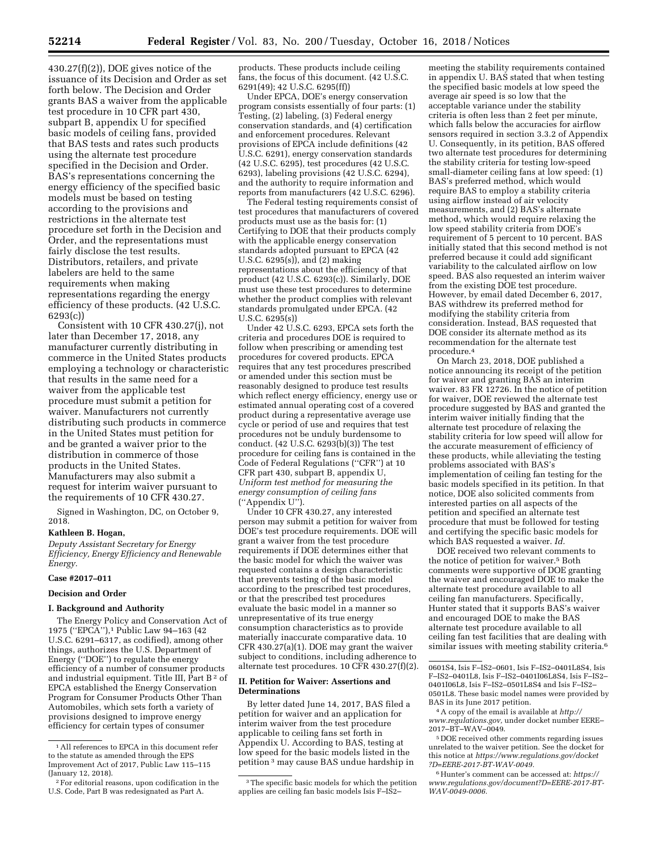430.27(f)(2)), DOE gives notice of the issuance of its Decision and Order as set forth below. The Decision and Order grants BAS a waiver from the applicable test procedure in 10 CFR part 430, subpart B, appendix U for specified basic models of ceiling fans, provided that BAS tests and rates such products using the alternate test procedure specified in the Decision and Order. BAS's representations concerning the energy efficiency of the specified basic models must be based on testing according to the provisions and restrictions in the alternate test procedure set forth in the Decision and Order, and the representations must fairly disclose the test results. Distributors, retailers, and private labelers are held to the same requirements when making representations regarding the energy efficiency of these products. (42 U.S.C. 6293(c))

Consistent with 10 CFR 430.27(j), not later than December 17, 2018, any manufacturer currently distributing in commerce in the United States products employing a technology or characteristic that results in the same need for a waiver from the applicable test procedure must submit a petition for waiver. Manufacturers not currently distributing such products in commerce in the United States must petition for and be granted a waiver prior to the distribution in commerce of those products in the United States. Manufacturers may also submit a request for interim waiver pursuant to the requirements of 10 CFR 430.27.

Signed in Washington, DC, on October 9, 2018.

#### **Kathleen B. Hogan,**

*Deputy Assistant Secretary for Energy Efficiency, Energy Efficiency and Renewable Energy.* 

# **Case #2017–011**

## **Decision and Order**

#### **I. Background and Authority**

The Energy Policy and Conservation Act of 1975 (''EPCA''),1 Public Law 94–163 (42 U.S.C. 6291–6317, as codified), among other things, authorizes the U.S. Department of Energy (''DOE'') to regulate the energy efficiency of a number of consumer products and industrial equipment. Title III, Part  $B^2$  of EPCA established the Energy Conservation Program for Consumer Products Other Than Automobiles, which sets forth a variety of provisions designed to improve energy efficiency for certain types of consumer

products. These products include ceiling fans, the focus of this document. (42 U.S.C. 6291(49); 42 U.S.C. 6295(ff))

Under EPCA, DOE's energy conservation program consists essentially of four parts: (1) Testing, (2) labeling, (3) Federal energy conservation standards, and (4) certification and enforcement procedures. Relevant provisions of EPCA include definitions (42 U.S.C. 6291), energy conservation standards (42 U.S.C. 6295), test procedures (42 U.S.C. 6293), labeling provisions (42 U.S.C. 6294), and the authority to require information and reports from manufacturers (42 U.S.C. 6296).

The Federal testing requirements consist of test procedures that manufacturers of covered products must use as the basis for: (1) Certifying to DOE that their products comply with the applicable energy conservation standards adopted pursuant to EPCA (42 U.S.C. 6295(s)), and (2) making representations about the efficiency of that product (42 U.S.C. 6293(c)). Similarly, DOE must use these test procedures to determine whether the product complies with relevant standards promulgated under EPCA. (42 U.S.C. 6295(s))

Under 42 U.S.C. 6293, EPCA sets forth the criteria and procedures DOE is required to follow when prescribing or amending test procedures for covered products. EPCA requires that any test procedures prescribed or amended under this section must be reasonably designed to produce test results which reflect energy efficiency, energy use or estimated annual operating cost of a covered product during a representative average use cycle or period of use and requires that test procedures not be unduly burdensome to conduct. (42 U.S.C. 6293(b)(3)) The test procedure for ceiling fans is contained in the Code of Federal Regulations (''CFR'') at 10 CFR part 430, subpart B, appendix U, *Uniform test method for measuring the energy consumption of ceiling fans*  (''Appendix U'').

Under 10 CFR 430.27, any interested person may submit a petition for waiver from DOE's test procedure requirements. DOE will grant a waiver from the test procedure requirements if DOE determines either that the basic model for which the waiver was requested contains a design characteristic that prevents testing of the basic model according to the prescribed test procedures, or that the prescribed test procedures evaluate the basic model in a manner so unrepresentative of its true energy consumption characteristics as to provide materially inaccurate comparative data. 10 CFR 430.27(a)(1). DOE may grant the waiver subject to conditions, including adherence to alternate test procedures. 10 CFR 430.27(f)(2).

#### **II. Petition for Waiver: Assertions and Determinations**

By letter dated June 14, 2017, BAS filed a petition for waiver and an application for interim waiver from the test procedure applicable to ceiling fans set forth in Appendix U. According to BAS, testing at low speed for the basic models listed in the petition 3 may cause BAS undue hardship in

meeting the stability requirements contained in appendix U. BAS stated that when testing the specified basic models at low speed the average air speed is so low that the acceptable variance under the stability criteria is often less than 2 feet per minute, which falls below the accuracies for airflow sensors required in section 3.3.2 of Appendix U. Consequently, in its petition, BAS offered two alternate test procedures for determining the stability criteria for testing low-speed small-diameter ceiling fans at low speed: (1) BAS's preferred method, which would require BAS to employ a stability criteria using airflow instead of air velocity measurements, and (2) BAS's alternate method, which would require relaxing the low speed stability criteria from DOE's requirement of 5 percent to 10 percent. BAS initially stated that this second method is not preferred because it could add significant variability to the calculated airflow on low speed. BAS also requested an interim waiver from the existing DOE test procedure. However, by email dated December 6, 2017, BAS withdrew its preferred method for modifying the stability criteria from consideration. Instead, BAS requested that DOE consider its alternate method as its recommendation for the alternate test procedure.4

On March 23, 2018, DOE published a notice announcing its receipt of the petition for waiver and granting BAS an interim waiver. 83 FR 12726. In the notice of petition for waiver, DOE reviewed the alternate test procedure suggested by BAS and granted the interim waiver initially finding that the alternate test procedure of relaxing the stability criteria for low speed will allow for the accurate measurement of efficiency of these products, while alleviating the testing problems associated with BAS's implementation of ceiling fan testing for the basic models specified in its petition. In that notice, DOE also solicited comments from interested parties on all aspects of the petition and specified an alternate test procedure that must be followed for testing and certifying the specific basic models for which BAS requested a waiver. *Id.* 

DOE received two relevant comments to the notice of petition for waiver.5 Both comments were supportive of DOE granting the waiver and encouraged DOE to make the alternate test procedure available to all ceiling fan manufacturers. Specifically, Hunter stated that it supports BAS's waiver and encouraged DOE to make the BAS alternate test procedure available to all ceiling fan test facilities that are dealing with similar issues with meeting stability criteria.<sup>6</sup>

4A copy of the email is available at *[http://](http://www.regulations.gov) [www.regulations.gov,](http://www.regulations.gov)* under docket number EERE– 2017–BT–WAV–0049.

5 DOE received other comments regarding issues unrelated to the waiver petition. See the docket for this notice at *[https://www.regulations.gov/docket](https://www.regulations.gov/docket?D=EERE-2017-BT-WAV-0049) [?D=EERE-2017-BT-WAV-0049.](https://www.regulations.gov/docket?D=EERE-2017-BT-WAV-0049)* 

6Hunter's comment can be accessed at: *[https://](https://www.regulations.gov/document?D=EERE-2017-BT-WAV-0049-0006) [www.regulations.gov/document?D=EERE-2017-BT-](https://www.regulations.gov/document?D=EERE-2017-BT-WAV-0049-0006)[WAV-0049-0006.](https://www.regulations.gov/document?D=EERE-2017-BT-WAV-0049-0006)* 

<sup>1</sup>All references to EPCA in this document refer to the statute as amended through the EPS Improvement Act of 2017, Public Law 115–115 (January 12, 2018).

<sup>2</sup>For editorial reasons, upon codification in the U.S. Code, Part B was redesignated as Part A.

<sup>&</sup>lt;sup>3</sup>The specific basic models for which the petition applies are ceiling fan basic models Isis F–IS2–

<sup>0601</sup>S4, Isis F–IS2–0601, Isis F–IS2–0401L8S4, Isis F–IS2–0401L8, Isis F–IS2–0401I06L8S4, Isis F–IS2– 0401I06L8, Isis F–IS2–0501L8S4 and Isis F–IS2– 0501L8. These basic model names were provided by BAS in its June 2017 petition.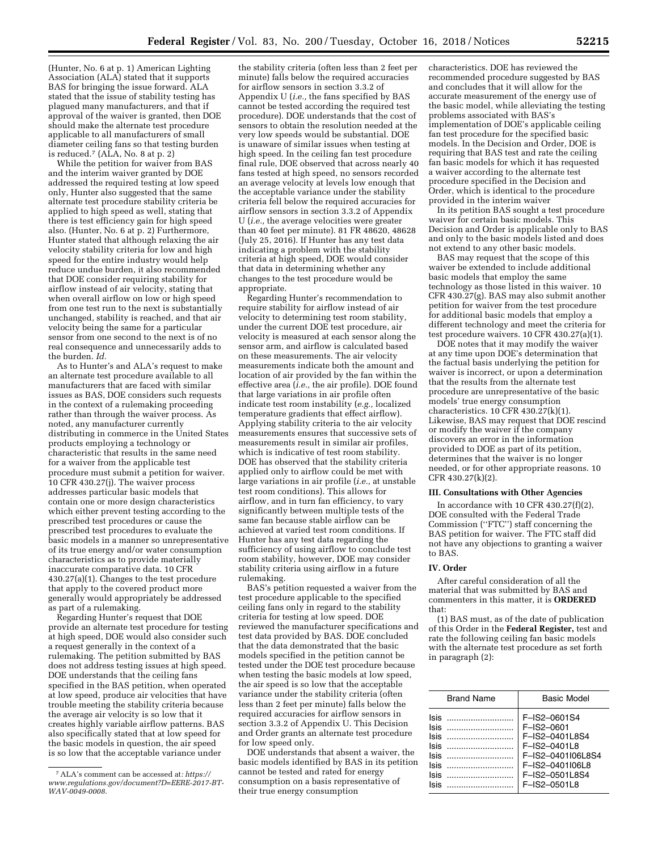(Hunter, No. 6 at p. 1) American Lighting Association (ALA) stated that it supports BAS for bringing the issue forward. ALA stated that the issue of stability testing has plagued many manufacturers, and that if approval of the waiver is granted, then DOE should make the alternate test procedure applicable to all manufacturers of small diameter ceiling fans so that testing burden is reduced.<sup>7</sup> (ALA, No. 8 at p. 2)

While the petition for waiver from BAS and the interim waiver granted by DOE addressed the required testing at low speed only, Hunter also suggested that the same alternate test procedure stability criteria be applied to high speed as well, stating that there is test efficiency gain for high speed also. (Hunter, No. 6 at p. 2) Furthermore, Hunter stated that although relaxing the air velocity stability criteria for low and high speed for the entire industry would help reduce undue burden, it also recommended that DOE consider requiring stability for airflow instead of air velocity, stating that when overall airflow on low or high speed from one test run to the next is substantially unchanged, stability is reached, and that air velocity being the same for a particular sensor from one second to the next is of no real consequence and unnecessarily adds to the burden. *Id.* 

As to Hunter's and ALA's request to make an alternate test procedure available to all manufacturers that are faced with similar issues as BAS, DOE considers such requests in the context of a rulemaking proceeding rather than through the waiver process. As noted, any manufacturer currently distributing in commerce in the United States products employing a technology or characteristic that results in the same need for a waiver from the applicable test procedure must submit a petition for waiver. 10 CFR 430.27(j). The waiver process addresses particular basic models that contain one or more design characteristics which either prevent testing according to the prescribed test procedures or cause the prescribed test procedures to evaluate the basic models in a manner so unrepresentative of its true energy and/or water consumption characteristics as to provide materially inaccurate comparative data. 10 CFR 430.27(a)(1). Changes to the test procedure that apply to the covered product more generally would appropriately be addressed as part of a rulemaking.

Regarding Hunter's request that DOE provide an alternate test procedure for testing at high speed, DOE would also consider such a request generally in the context of a rulemaking. The petition submitted by BAS does not address testing issues at high speed. DOE understands that the ceiling fans specified in the BAS petition, when operated at low speed, produce air velocities that have trouble meeting the stability criteria because the average air velocity is so low that it creates highly variable airflow patterns. BAS also specifically stated that at low speed for the basic models in question, the air speed is so low that the acceptable variance under

the stability criteria (often less than 2 feet per minute) falls below the required accuracies for airflow sensors in section 3.3.2 of Appendix U (*i.e.,* the fans specified by BAS cannot be tested according the required test procedure). DOE understands that the cost of sensors to obtain the resolution needed at the very low speeds would be substantial. DOE is unaware of similar issues when testing at high speed. In the ceiling fan test procedure final rule, DOE observed that across nearly 40 fans tested at high speed, no sensors recorded an average velocity at levels low enough that the acceptable variance under the stability criteria fell below the required accuracies for airflow sensors in section 3.3.2 of Appendix U (*i.e.,* the average velocities were greater than 40 feet per minute). 81 FR 48620, 48628 (July 25, 2016). If Hunter has any test data indicating a problem with the stability criteria at high speed, DOE would consider that data in determining whether any changes to the test procedure would be appropriate.

Regarding Hunter's recommendation to require stability for airflow instead of air velocity to determining test room stability, under the current DOE test procedure, air velocity is measured at each sensor along the sensor arm, and airflow is calculated based on these measurements. The air velocity measurements indicate both the amount and location of air provided by the fan within the effective area (*i.e.,* the air profile). DOE found that large variations in air profile often indicate test room instability (*e.g.,* localized temperature gradients that effect airflow). Applying stability criteria to the air velocity measurements ensures that successive sets of measurements result in similar air profiles, which is indicative of test room stability. DOE has observed that the stability criteria applied only to airflow could be met with large variations in air profile (*i.e.,* at unstable test room conditions). This allows for airflow, and in turn fan efficiency, to vary significantly between multiple tests of the same fan because stable airflow can be achieved at varied test room conditions. If Hunter has any test data regarding the sufficiency of using airflow to conclude test room stability, however, DOE may consider stability criteria using airflow in a future rulemaking.

BAS's petition requested a waiver from the test procedure applicable to the specified ceiling fans only in regard to the stability criteria for testing at low speed. DOE reviewed the manufacturer specifications and test data provided by BAS. DOE concluded that the data demonstrated that the basic models specified in the petition cannot be tested under the DOE test procedure because when testing the basic models at low speed, the air speed is so low that the acceptable variance under the stability criteria (often less than 2 feet per minute) falls below the required accuracies for airflow sensors in section 3.3.2 of Appendix U. This Decision and Order grants an alternate test procedure for low speed only.

DOE understands that absent a waiver, the basic models identified by BAS in its petition cannot be tested and rated for energy consumption on a basis representative of their true energy consumption

characteristics. DOE has reviewed the recommended procedure suggested by BAS and concludes that it will allow for the accurate measurement of the energy use of the basic model, while alleviating the testing problems associated with BAS's implementation of DOE's applicable ceiling fan test procedure for the specified basic models. In the Decision and Order, DOE is requiring that BAS test and rate the ceiling fan basic models for which it has requested a waiver according to the alternate test procedure specified in the Decision and Order, which is identical to the procedure provided in the interim waiver

In its petition BAS sought a test procedure waiver for certain basic models. This Decision and Order is applicable only to BAS and only to the basic models listed and does not extend to any other basic models.

BAS may request that the scope of this waiver be extended to include additional basic models that employ the same technology as those listed in this waiver. 10 CFR 430.27(g). BAS may also submit another petition for waiver from the test procedure for additional basic models that employ a different technology and meet the criteria for test procedure waivers. 10 CFR 430.27(a)(1).

DOE notes that it may modify the waiver at any time upon DOE's determination that the factual basis underlying the petition for waiver is incorrect, or upon a determination that the results from the alternate test procedure are unrepresentative of the basic models' true energy consumption characteristics. 10 CFR 430.27(k)(1). Likewise, BAS may request that DOE rescind or modify the waiver if the company discovers an error in the information provided to DOE as part of its petition, determines that the waiver is no longer needed, or for other appropriate reasons. 10 CFR 430.27(k)(2).

#### **III. Consultations with Other Agencies**

In accordance with 10 CFR  $430.27(f)(2)$ , DOE consulted with the Federal Trade Commission (''FTC'') staff concerning the BAS petition for waiver. The FTC staff did not have any objections to granting a waiver to BAS.

#### **IV. Order**

After careful consideration of all the material that was submitted by BAS and commenters in this matter, it is **ORDERED**  that:

(1) BAS must, as of the date of publication of this Order in the **Federal Register,** test and rate the following ceiling fan basic models with the alternate test procedure as set forth in paragraph (2):

| <b>Brand Name</b>                                                              | <b>Basic Model</b>                                                                                                                                 |
|--------------------------------------------------------------------------------|----------------------------------------------------------------------------------------------------------------------------------------------------|
| Isis<br><u>lsis …………………………</u><br>Isis<br>Isis<br>Isis<br>Isis<br>Isis<br>lsis | F-IS2-0601S4<br>$F - 1S2 - 0601$<br>F-IS2-0401L8S4<br>F-IS2-0401L8<br>F-IS2-0401I06L8S4<br>F-IS2-0401I06L8<br>F-IS2-0501L8S4<br>$F - 1S2 - 050118$ |
|                                                                                |                                                                                                                                                    |

<sup>7</sup>ALA's comment can be accessed at*: [https://](https://www.regulations.gov/document?D=EERE-2017-BT-WAV-0049-0008) [www.regulations.gov/document?D=EERE-2017-BT-](https://www.regulations.gov/document?D=EERE-2017-BT-WAV-0049-0008)[WAV-0049-0008.](https://www.regulations.gov/document?D=EERE-2017-BT-WAV-0049-0008)*